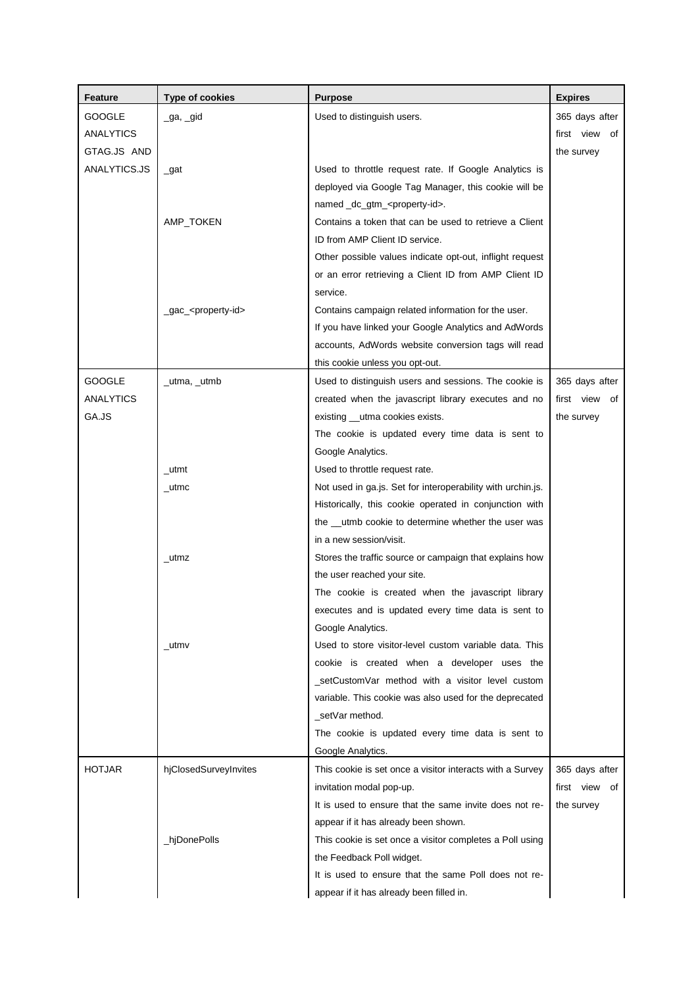| Feature          | <b>Type of cookies</b>            | <b>Purpose</b>                                              | <b>Expires</b> |
|------------------|-----------------------------------|-------------------------------------------------------------|----------------|
| <b>GOOGLE</b>    | _ga, _gid                         | Used to distinguish users.                                  | 365 days after |
| ANALYTICS        |                                   |                                                             | first view of  |
| GTAG.JS AND      |                                   |                                                             | the survey     |
| ANALYTICS.JS     | $\_$ gat                          | Used to throttle request rate. If Google Analytics is       |                |
|                  |                                   | deployed via Google Tag Manager, this cookie will be        |                |
|                  |                                   | named _dc_gtm_ <property-id>.</property-id>                 |                |
|                  | AMP_TOKEN                         | Contains a token that can be used to retrieve a Client      |                |
|                  |                                   | ID from AMP Client ID service.                              |                |
|                  |                                   | Other possible values indicate opt-out, inflight request    |                |
|                  |                                   | or an error retrieving a Client ID from AMP Client ID       |                |
|                  |                                   | service.                                                    |                |
|                  | _gac_ <property-id></property-id> | Contains campaign related information for the user.         |                |
|                  |                                   | If you have linked your Google Analytics and AdWords        |                |
|                  |                                   | accounts, AdWords website conversion tags will read         |                |
|                  |                                   | this cookie unless you opt-out.                             |                |
| GOOGLE           | _utma, _utmb                      | Used to distinguish users and sessions. The cookie is       | 365 days after |
| <b>ANALYTICS</b> |                                   | created when the javascript library executes and no         | first view of  |
| GA.JS            |                                   | existing __utma cookies exists.                             | the survey     |
|                  |                                   | The cookie is updated every time data is sent to            |                |
|                  |                                   | Google Analytics.                                           |                |
|                  | _utmt                             | Used to throttle request rate.                              |                |
|                  | _utmc                             | Not used in ga.js. Set for interoperability with urchin.js. |                |
|                  |                                   | Historically, this cookie operated in conjunction with      |                |
|                  |                                   | the __utmb cookie to determine whether the user was         |                |
|                  |                                   | in a new session/visit.                                     |                |
|                  | _utmz                             | Stores the traffic source or campaign that explains how     |                |
|                  |                                   | the user reached your site.                                 |                |
|                  |                                   | The cookie is created when the javascript library           |                |
|                  |                                   | executes and is updated every time data is sent to          |                |
|                  |                                   | Google Analytics.                                           |                |
|                  | _utmv                             | Used to store visitor-level custom variable data. This      |                |
|                  |                                   | cookie is created when a developer uses the                 |                |
|                  |                                   | _setCustomVar method with a visitor level custom            |                |
|                  |                                   | variable. This cookie was also used for the deprecated      |                |
|                  |                                   | _setVar method.                                             |                |
|                  |                                   | The cookie is updated every time data is sent to            |                |
|                  |                                   | Google Analytics.                                           |                |
| <b>HOTJAR</b>    | hjClosedSurveyInvites             | This cookie is set once a visitor interacts with a Survey   | 365 days after |
|                  |                                   | invitation modal pop-up.                                    | first view of  |
|                  |                                   | It is used to ensure that the same invite does not re-      | the survey     |
|                  |                                   | appear if it has already been shown.                        |                |
|                  | _hjDonePolls                      | This cookie is set once a visitor completes a Poll using    |                |
|                  |                                   | the Feedback Poll widget.                                   |                |
|                  |                                   | It is used to ensure that the same Poll does not re-        |                |
|                  |                                   | appear if it has already been filled in.                    |                |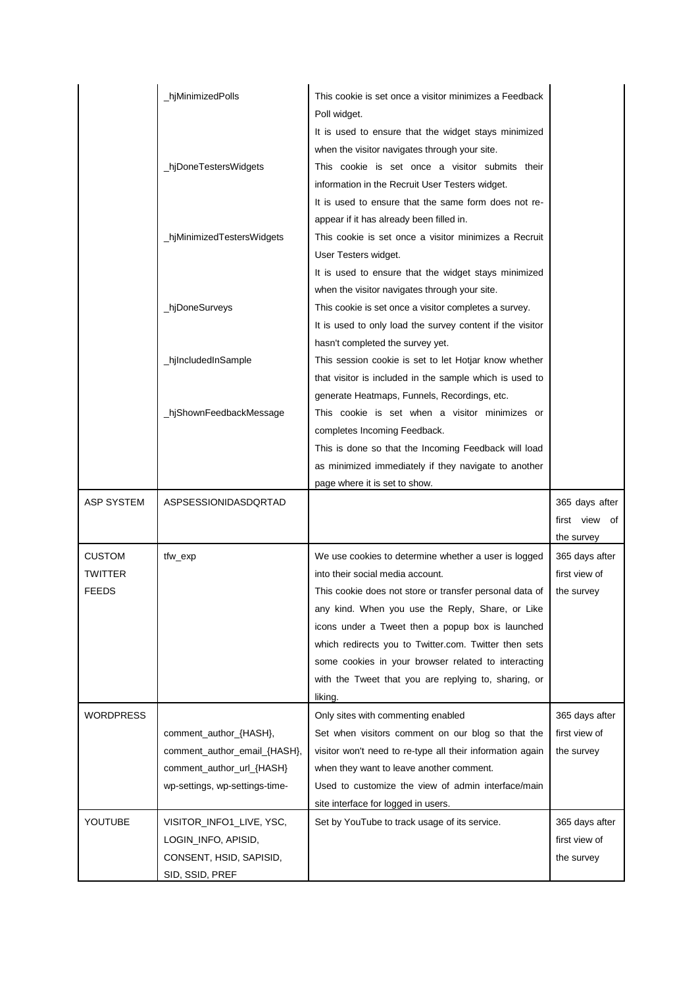|                                          | hjMinimizedPolls                                                                                                      | This cookie is set once a visitor minimizes a Feedback<br>Poll widget.                                                                                                                                                                                                                                                                                                                                                                         |                                               |
|------------------------------------------|-----------------------------------------------------------------------------------------------------------------------|------------------------------------------------------------------------------------------------------------------------------------------------------------------------------------------------------------------------------------------------------------------------------------------------------------------------------------------------------------------------------------------------------------------------------------------------|-----------------------------------------------|
|                                          | _hjDoneTestersWidgets                                                                                                 | It is used to ensure that the widget stays minimized<br>when the visitor navigates through your site.<br>This cookie is set once a visitor submits their<br>information in the Recruit User Testers widget.                                                                                                                                                                                                                                    |                                               |
|                                          | _hjMinimizedTestersWidgets                                                                                            | It is used to ensure that the same form does not re-<br>appear if it has already been filled in.<br>This cookie is set once a visitor minimizes a Recruit<br>User Testers widget.                                                                                                                                                                                                                                                              |                                               |
|                                          | _hjDoneSurveys                                                                                                        | It is used to ensure that the widget stays minimized<br>when the visitor navigates through your site.<br>This cookie is set once a visitor completes a survey.<br>It is used to only load the survey content if the visitor                                                                                                                                                                                                                    |                                               |
|                                          | _hjIncludedInSample                                                                                                   | hasn't completed the survey yet.<br>This session cookie is set to let Hotjar know whether<br>that visitor is included in the sample which is used to                                                                                                                                                                                                                                                                                           |                                               |
|                                          | _hjShownFeedbackMessage                                                                                               | generate Heatmaps, Funnels, Recordings, etc.<br>This cookie is set when a visitor minimizes or<br>completes Incoming Feedback.<br>This is done so that the Incoming Feedback will load                                                                                                                                                                                                                                                         |                                               |
|                                          |                                                                                                                       | as minimized immediately if they navigate to another<br>page where it is set to show.                                                                                                                                                                                                                                                                                                                                                          |                                               |
| <b>ASP SYSTEM</b>                        | ASPSESSIONIDASDQRTAD                                                                                                  |                                                                                                                                                                                                                                                                                                                                                                                                                                                | 365 days after<br>first view of<br>the survey |
| <b>CUSTOM</b><br>TWITTER<br><b>FEEDS</b> | tfw_exp                                                                                                               | We use cookies to determine whether a user is logged<br>into their social media account.<br>This cookie does not store or transfer personal data of<br>any kind. When you use the Reply, Share, or Like<br>icons under a Tweet then a popup box is launched<br>which redirects you to Twitter.com. Twitter then sets<br>some cookies in your browser related to interacting<br>with the Tweet that you are replying to, sharing, or<br>liking. | 365 days after<br>first view of<br>the survey |
| <b>WORDPRESS</b>                         | comment_author_{HASH},<br>comment_author_email_{HASH},<br>comment_author_url_{HASH}<br>wp-settings, wp-settings-time- | Only sites with commenting enabled<br>Set when visitors comment on our blog so that the<br>visitor won't need to re-type all their information again<br>when they want to leave another comment.<br>Used to customize the view of admin interface/main<br>site interface for logged in users.                                                                                                                                                  | 365 days after<br>first view of<br>the survey |
| YOUTUBE                                  | VISITOR_INFO1_LIVE, YSC,<br>LOGIN_INFO, APISID,<br>CONSENT, HSID, SAPISID,<br>SID, SSID, PREF                         | Set by YouTube to track usage of its service.                                                                                                                                                                                                                                                                                                                                                                                                  | 365 days after<br>first view of<br>the survey |